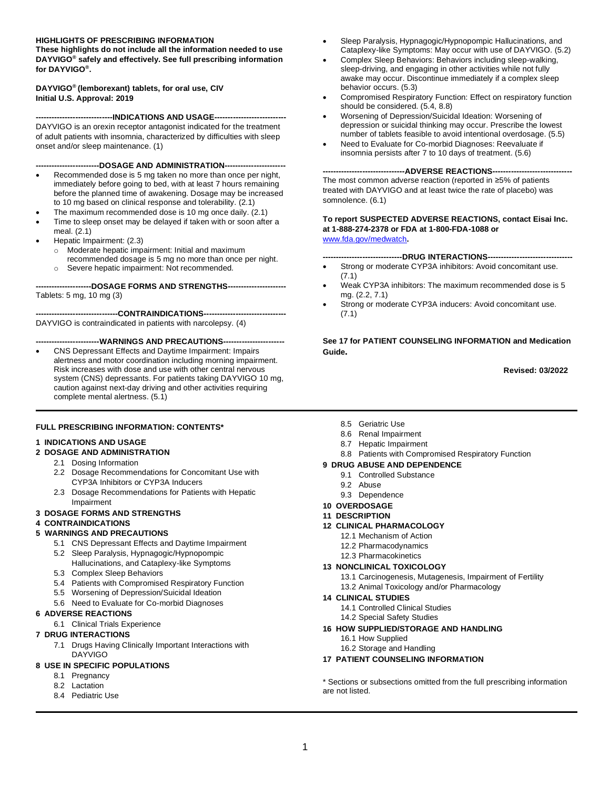#### **HIGHLIGHTS OF PRESCRIBING INFORMATION**

**These highlights do not include all the information needed to use DAYVIGO® safely and effectively. See full prescribing information for DAYVIGO® .**

#### **DAYVIGO® (lemborexant) tablets, for oral use, CIV Initial U.S. Approval: 2019**

**-----------------------------INDICATIONS AND USAGE---------------------------**

DAYVIGO is an orexin receptor antagonist indicated for the treatment of adult patients with insomnia, characterized by difficulties with sleep onset and/or sleep maintenance. (1)

**------------------------DOSAGE AND ADMINISTRATION-----------------------**

- Recommended dose is 5 mg taken no more than once per night, immediately before going to bed, with at least 7 hours remaining before the planned time of awakening. Dosage may be increased to 10 mg based on clinical response and tolerability. (2.1)
- The maximum recommended dose is 10 mg once daily. (2.1)
- Time to sleep onset may be delayed if taken with or soon after a
- meal. (2.1) • Hepatic Impairment: (2.3)
	- o Moderate hepatic impairment: Initial and maximum recommended dosage is 5 mg no more than once per night.
	- o Severe hepatic impairment: Not recommended.

**---------------------DOSAGE FORMS AND STRENGTHS----------------------** Tablets: 5 mg, 10 mg (3)

**-------------------------------CONTRAINDICATIONS-------------------------------** DAYVIGO is contraindicated in patients with narcolepsy. (4)

#### **------------------------WARNINGS AND PRECAUTIONS-----------------------**

• CNS Depressant Effects and Daytime Impairment: Impairs alertness and motor coordination including morning impairment. Risk increases with dose and use with other central nervous system (CNS) depressants. For patients taking DAYVIGO 10 mg, caution against next-day driving and other activities requiring complete mental alertness. (5.1)

#### **FULL PRESCRIBING INFORMATION: CONTENTS\***

#### **1 INDICATIONS AND USAGE**

#### **2 DOSAGE AND ADMINISTRATION**

- 2.1 Dosing Information
- 2.2 Dosage Recommendations for Concomitant Use with CYP3A Inhibitors or CYP3A Inducers
- 2.3 Dosage Recommendations for Patients with Hepatic Impairment

#### **3 DOSAGE FORMS AND STRENGTHS**

#### **4 CONTRAINDICATIONS**

#### **5 WARNINGS AND PRECAUTIONS**

- 5.1 CNS Depressant Effects and Daytime Impairment
- 5.2 Sleep Paralysis, Hypnagogic/Hypnopompic
	- Hallucinations, and Cataplexy-like Symptoms
- 5.3 Complex Sleep Behaviors
- 5.4 Patients with Compromised Respiratory Function
- 5.5 Worsening of Depression/Suicidal Ideation
- 5.6 Need to Evaluate for Co-morbid Diagnoses

#### **6 ADVERSE REACTIONS**

6.1 Clinical Trials Experience

#### **7 DRUG INTERACTIONS**

7.1 Drugs Having Clinically Important Interactions with DAYVIGO

#### **8 USE IN SPECIFIC POPULATIONS**

- 8.1 Pregnancy
- 8.2 Lactation
- 8.4 Pediatric Use
- Sleep Paralysis, Hypnagogic/Hypnopompic Hallucinations, and Cataplexy-like Symptoms: May occur with use of DAYVIGO. (5.2)
- Complex Sleep Behaviors: Behaviors including sleep-walking, sleep-driving, and engaging in other activities while not fully awake may occur. Discontinue immediately if a complex sleep behavior occurs. (5.3)
- Compromised Respiratory Function: Effect on respiratory function should be considered. (5.4, 8.8)
- Worsening of Depression/Suicidal Ideation: Worsening of depression or suicidal thinking may occur. Prescribe the lowest number of tablets feasible to avoid intentional overdosage. (5.5)
- Need to Evaluate for Co-morbid Diagnoses: Reevaluate if insomnia persists after 7 to 10 days of treatment. (5.6)

**-------------------------------ADVERSE REACTIONS------------------------------**

The most common adverse reaction (reported in ≥5% of patients treated with DAYVIGO and at least twice the rate of placebo) was somnolence. (6.1)

#### **To report SUSPECTED ADVERSE REACTIONS, contact Eisai Inc. at 1-888-274-2378 or FDA at 1-800-FDA-1088 or** [www.fda.gov/medwatch](http://www.fda.gov/medwatch)**.**

- **------------------------------DRUG INTERACTIONS--------------------------------**
- Strong or moderate CYP3A inhibitors: Avoid concomitant use. (7.1)
- Weak CYP3A inhibitors: The maximum recommended dose is 5 mg. (2.2, 7.1)
- Strong or moderate CYP3A inducers: Avoid concomitant use. (7.1)

**See 17 for PATIENT COUNSELING INFORMATION and Medication Guide.**

 **Revised: 03/2022**

- 8.5 Geriatric Use
- 8.6 Renal Impairment
- 8.7 Hepatic Impairment
- 8.8 Patients with Compromised Respiratory Function

#### **9 DRUG ABUSE AND DEPENDENCE**

- 9.1 Controlled Substance
- 9.2 Abuse
- 9.3 Dependence
- **10 OVERDOSAGE**

#### **11 DESCRIPTION**

- **12 CLINICAL PHARMACOLOGY**
	- 12.1 Mechanism of Action
	- 12.2 Pharmacodynamics
	- 12.3 Pharmacokinetics

#### **13 NONCLINICAL TOXICOLOGY**

- 13.1 Carcinogenesis, Mutagenesis, Impairment of Fertility
- 13.2 Animal Toxicology and/or Pharmacology

#### **14 CLINICAL STUDIES**

- 14.1 Controlled Clinical Studies
- 14.2 Special Safety Studies
- **16 HOW SUPPLIED/STORAGE AND HANDLING**
	- 16.1 How Supplied
	- 16.2 Storage and Handling

#### **17 PATIENT COUNSELING INFORMATION**

\* Sections or subsections omitted from the full prescribing information are not listed.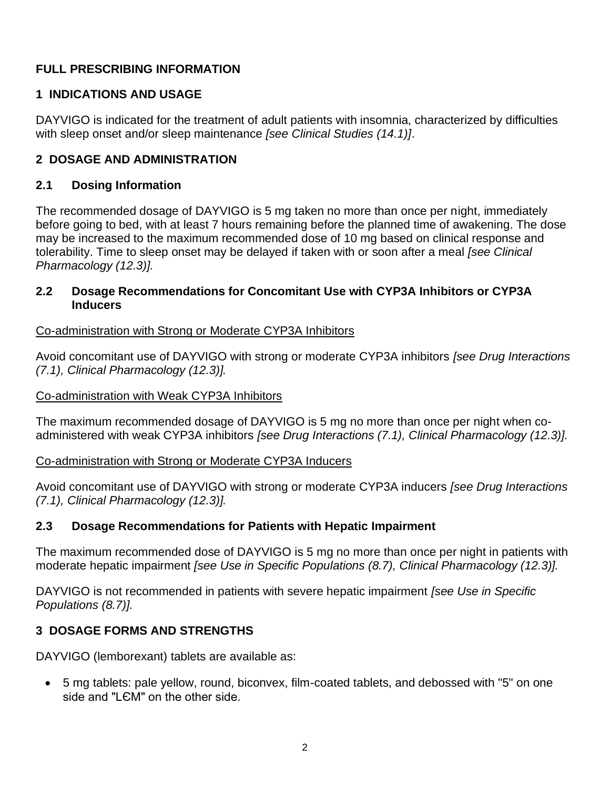## **FULL PRESCRIBING INFORMATION**

## **1 INDICATIONS AND USAGE**

DAYVIGO is indicated for the treatment of adult patients with insomnia, characterized by difficulties with sleep onset and/or sleep maintenance *[see Clinical Studies (14.1)]*.

## **2 DOSAGE AND ADMINISTRATION**

## **2.1 Dosing Information**

The recommended dosage of DAYVIGO is 5 mg taken no more than once per night, immediately before going to bed, with at least 7 hours remaining before the planned time of awakening. The dose may be increased to the maximum recommended dose of 10 mg based on clinical response and tolerability. Time to sleep onset may be delayed if taken with or soon after a meal *[see Clinical Pharmacology (12.3)].*

## **2.2 Dosage Recommendations for Concomitant Use with CYP3A Inhibitors or CYP3A Inducers**

## Co-administration with Strong or Moderate CYP3A Inhibitors

Avoid concomitant use of DAYVIGO with strong or moderate CYP3A inhibitors *[see Drug Interactions (7.1), Clinical Pharmacology (12.3)].*

#### Co-administration with Weak CYP3A Inhibitors

The maximum recommended dosage of DAYVIGO is 5 mg no more than once per night when coadministered with weak CYP3A inhibitors *[see Drug Interactions (7.1), Clinical Pharmacology (12.3)].*

Co-administration with Strong or Moderate CYP3A Inducers

Avoid concomitant use of DAYVIGO with strong or moderate CYP3A inducers *[see Drug Interactions (7.1), Clinical Pharmacology (12.3)].*

## **2.3 Dosage Recommendations for Patients with Hepatic Impairment**

The maximum recommended dose of DAYVIGO is 5 mg no more than once per night in patients with moderate hepatic impairment *[see Use in Specific Populations (8.7), Clinical Pharmacology (12.3)].*

DAYVIGO is not recommended in patients with severe hepatic impairment *[see Use in Specific Populations (8.7)].* 

# **3 DOSAGE FORMS AND STRENGTHS**

DAYVIGO (lemborexant) tablets are available as:

• 5 mg tablets: pale yellow, round, biconvex, film-coated tablets, and debossed with "5" on one side and "LЄM" on the other side.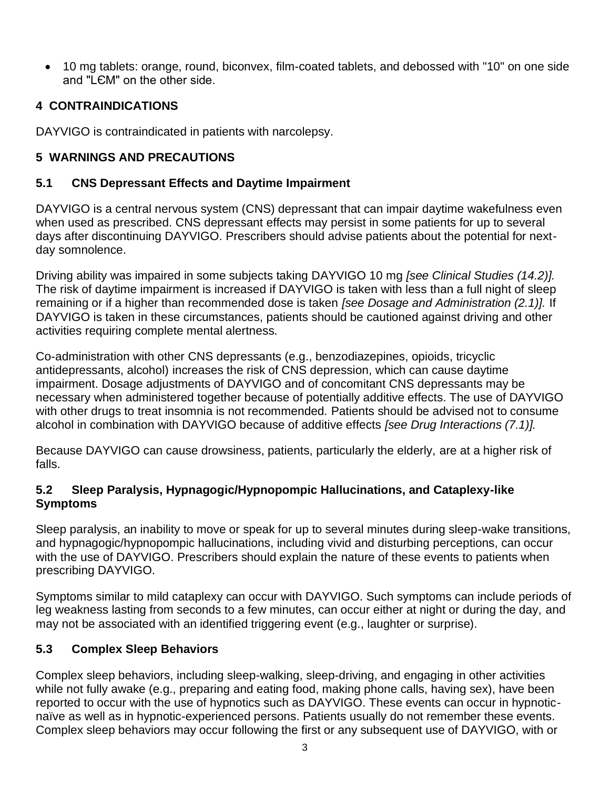• 10 mg tablets: orange, round, biconvex, film-coated tablets, and debossed with "10" on one side and "LЄM" on the other side.

## **4 CONTRAINDICATIONS**

DAYVIGO is contraindicated in patients with narcolepsy.

## **5 WARNINGS AND PRECAUTIONS**

#### **5.1 CNS Depressant Effects and Daytime Impairment**

DAYVIGO is a central nervous system (CNS) depressant that can impair daytime wakefulness even when used as prescribed. CNS depressant effects may persist in some patients for up to several days after discontinuing DAYVIGO. Prescribers should advise patients about the potential for nextday somnolence.

Driving ability was impaired in some subjects taking DAYVIGO 10 mg *[see Clinical Studies (14.2)].* The risk of daytime impairment is increased if DAYVIGO is taken with less than a full night of sleep remaining or if a higher than recommended dose is taken *[see Dosage and Administration (2.1)].* If DAYVIGO is taken in these circumstances, patients should be cautioned against driving and other activities requiring complete mental alertness.

Co-administration with other CNS depressants (e.g., benzodiazepines, opioids, tricyclic antidepressants, alcohol) increases the risk of CNS depression, which can cause daytime impairment. Dosage adjustments of DAYVIGO and of concomitant CNS depressants may be necessary when administered together because of potentially additive effects. The use of DAYVIGO with other drugs to treat insomnia is not recommended*.* Patients should be advised not to consume alcohol in combination with DAYVIGO because of additive effects *[see Drug Interactions (7.1)].* 

Because DAYVIGO can cause drowsiness, patients, particularly the elderly, are at a higher risk of falls.

## **5.2 Sleep Paralysis, Hypnagogic/Hypnopompic Hallucinations, and Cataplexy-like Symptoms**

Sleep paralysis, an inability to move or speak for up to several minutes during sleep-wake transitions, and hypnagogic/hypnopompic hallucinations, including vivid and disturbing perceptions, can occur with the use of DAYVIGO. Prescribers should explain the nature of these events to patients when prescribing DAYVIGO.

Symptoms similar to mild cataplexy can occur with DAYVIGO. Such symptoms can include periods of leg weakness lasting from seconds to a few minutes, can occur either at night or during the day, and may not be associated with an identified triggering event (e.g., laughter or surprise).

## **5.3 Complex Sleep Behaviors**

Complex sleep behaviors, including sleep-walking, sleep-driving, and engaging in other activities while not fully awake (e.g., preparing and eating food, making phone calls, having sex), have been reported to occur with the use of hypnotics such as DAYVIGO. These events can occur in hypnoticnaïve as well as in hypnotic-experienced persons. Patients usually do not remember these events. Complex sleep behaviors may occur following the first or any subsequent use of DAYVIGO, with or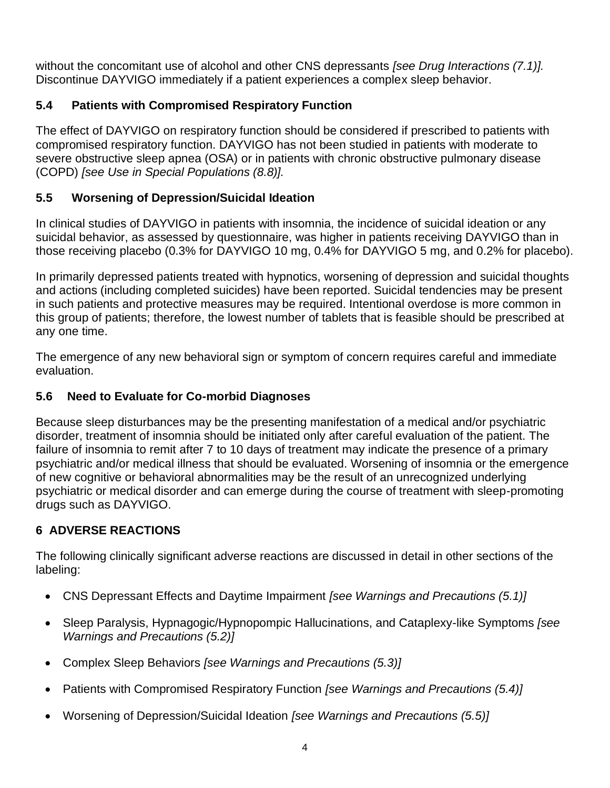without the concomitant use of alcohol and other CNS depressants *[see Drug Interactions (7.1)].* Discontinue DAYVIGO immediately if a patient experiences a complex sleep behavior.

# **5.4 Patients with Compromised Respiratory Function**

The effect of DAYVIGO on respiratory function should be considered if prescribed to patients with compromised respiratory function. DAYVIGO has not been studied in patients with moderate to severe obstructive sleep apnea (OSA) or in patients with chronic obstructive pulmonary disease (COPD) *[see Use in Special Populations (8.8)].*

# **5.5 Worsening of Depression/Suicidal Ideation**

In clinical studies of DAYVIGO in patients with insomnia, the incidence of suicidal ideation or any suicidal behavior, as assessed by questionnaire, was higher in patients receiving DAYVIGO than in those receiving placebo (0.3% for DAYVIGO 10 mg, 0.4% for DAYVIGO 5 mg, and 0.2% for placebo).

In primarily depressed patients treated with hypnotics, worsening of depression and suicidal thoughts and actions (including completed suicides) have been reported. Suicidal tendencies may be present in such patients and protective measures may be required. Intentional overdose is more common in this group of patients; therefore, the lowest number of tablets that is feasible should be prescribed at any one time.

The emergence of any new behavioral sign or symptom of concern requires careful and immediate evaluation.

# **5.6 Need to Evaluate for Co-morbid Diagnoses**

Because sleep disturbances may be the presenting manifestation of a medical and/or psychiatric disorder, treatment of insomnia should be initiated only after careful evaluation of the patient. The failure of insomnia to remit after 7 to 10 days of treatment may indicate the presence of a primary psychiatric and/or medical illness that should be evaluated. Worsening of insomnia or the emergence of new cognitive or behavioral abnormalities may be the result of an unrecognized underlying psychiatric or medical disorder and can emerge during the course of treatment with sleep-promoting drugs such as DAYVIGO.

# **6 ADVERSE REACTIONS**

The following clinically significant adverse reactions are discussed in detail in other sections of the labeling:

- CNS Depressant Effects and Daytime Impairment *[see Warnings and Precautions (5.1)]*
- Sleep Paralysis, Hypnagogic/Hypnopompic Hallucinations, and Cataplexy-like Symptoms *[see Warnings and Precautions (5.2)]*
- Complex Sleep Behaviors *[see Warnings and Precautions (5.3)]*
- Patients with Compromised Respiratory Function *[see Warnings and Precautions (5.4)]*
- Worsening of Depression/Suicidal Ideation *[see Warnings and Precautions (5.5)]*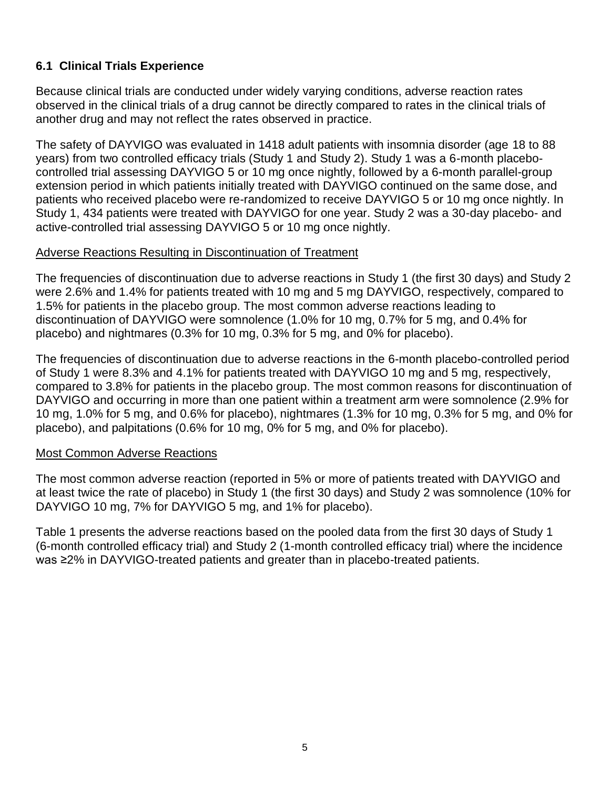## **6.1 Clinical Trials Experience**

Because clinical trials are conducted under widely varying conditions, adverse reaction rates observed in the clinical trials of a drug cannot be directly compared to rates in the clinical trials of another drug and may not reflect the rates observed in practice.

The safety of DAYVIGO was evaluated in 1418 adult patients with insomnia disorder (age 18 to 88 years) from two controlled efficacy trials (Study 1 and Study 2). Study 1 was a 6-month placebocontrolled trial assessing DAYVIGO 5 or 10 mg once nightly, followed by a 6-month parallel-group extension period in which patients initially treated with DAYVIGO continued on the same dose, and patients who received placebo were re-randomized to receive DAYVIGO 5 or 10 mg once nightly. In Study 1, 434 patients were treated with DAYVIGO for one year. Study 2 was a 30-day placebo- and active-controlled trial assessing DAYVIGO 5 or 10 mg once nightly.

#### Adverse Reactions Resulting in Discontinuation of Treatment

The frequencies of discontinuation due to adverse reactions in Study 1 (the first 30 days) and Study 2 were 2.6% and 1.4% for patients treated with 10 mg and 5 mg DAYVIGO, respectively, compared to 1.5% for patients in the placebo group. The most common adverse reactions leading to discontinuation of DAYVIGO were somnolence (1.0% for 10 mg, 0.7% for 5 mg, and 0.4% for placebo) and nightmares (0.3% for 10 mg, 0.3% for 5 mg, and 0% for placebo).

The frequencies of discontinuation due to adverse reactions in the 6-month placebo-controlled period of Study 1 were 8.3% and 4.1% for patients treated with DAYVIGO 10 mg and 5 mg, respectively, compared to 3.8% for patients in the placebo group. The most common reasons for discontinuation of DAYVIGO and occurring in more than one patient within a treatment arm were somnolence (2.9% for 10 mg, 1.0% for 5 mg, and 0.6% for placebo), nightmares (1.3% for 10 mg, 0.3% for 5 mg, and 0% for placebo), and palpitations (0.6% for 10 mg, 0% for 5 mg, and 0% for placebo).

#### Most Common Adverse Reactions

The most common adverse reaction (reported in 5% or more of patients treated with DAYVIGO and at least twice the rate of placebo) in Study 1 (the first 30 days) and Study 2 was somnolence (10% for DAYVIGO 10 mg, 7% for DAYVIGO 5 mg, and 1% for placebo).

Table 1 presents the adverse reactions based on the pooled data from the first 30 days of Study 1 (6-month controlled efficacy trial) and Study 2 (1-month controlled efficacy trial) where the incidence was ≥2% in DAYVIGO-treated patients and greater than in placebo-treated patients.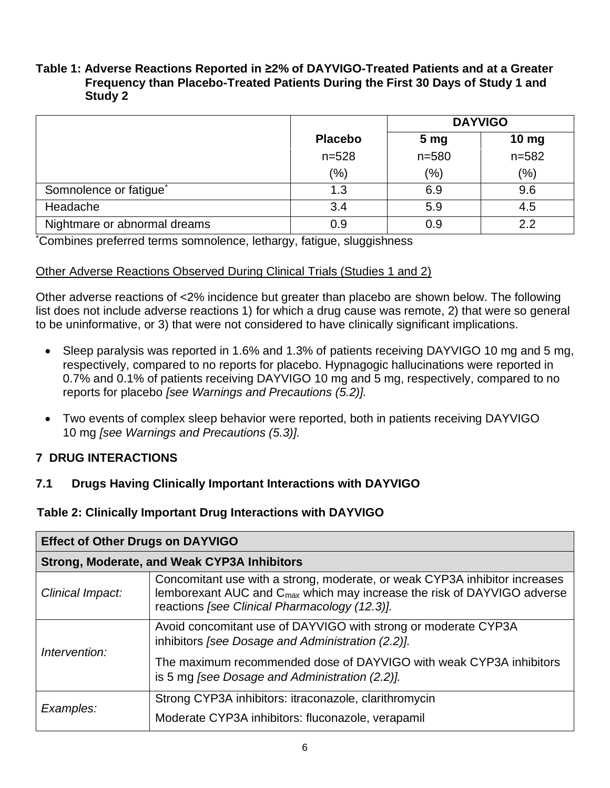#### **Table 1: Adverse Reactions Reported in ≥2% of DAYVIGO-Treated Patients and at a Greater Frequency than Placebo-Treated Patients During the First 30 Days of Study 1 and Study 2**

|                                    |                | <b>DAYVIGO</b>  |           |  |
|------------------------------------|----------------|-----------------|-----------|--|
|                                    | <b>Placebo</b> | 5 <sub>mg</sub> | 10 mg     |  |
|                                    | $n = 528$      | $n = 580$       | $n = 582$ |  |
|                                    | $(\% )$        | (%)             | (% )      |  |
| Somnolence or fatigue <sup>*</sup> | 1.3            | 6.9             | 9.6       |  |
| Headache                           | 3.4            | 5.9             | 4.5       |  |
| Nightmare or abnormal dreams       | 0.9            | 0.9             | 2.2       |  |

\*Combines preferred terms somnolence, lethargy, fatigue, sluggishness

## Other Adverse Reactions Observed During Clinical Trials (Studies 1 and 2)

Other adverse reactions of <2% incidence but greater than placebo are shown below. The following list does not include adverse reactions 1) for which a drug cause was remote, 2) that were so general to be uninformative, or 3) that were not considered to have clinically significant implications.

- Sleep paralysis was reported in 1.6% and 1.3% of patients receiving DAYVIGO 10 mg and 5 mg, respectively, compared to no reports for placebo. Hypnagogic hallucinations were reported in 0.7% and 0.1% of patients receiving DAYVIGO 10 mg and 5 mg, respectively, compared to no reports for placebo *[see Warnings and Precautions (5.2)].*
- Two events of complex sleep behavior were reported, both in patients receiving DAYVIGO 10 mg *[see Warnings and Precautions (5.3)].*

## **7 DRUG INTERACTIONS**

## **7.1 Drugs Having Clinically Important Interactions with DAYVIGO**

## **Table 2: Clinically Important Drug Interactions with DAYVIGO**

| <b>Effect of Other Drugs on DAYVIGO</b>            |                                                                                                                                                                                                                    |  |  |  |
|----------------------------------------------------|--------------------------------------------------------------------------------------------------------------------------------------------------------------------------------------------------------------------|--|--|--|
| <b>Strong, Moderate, and Weak CYP3A Inhibitors</b> |                                                                                                                                                                                                                    |  |  |  |
| Clinical Impact:                                   | Concomitant use with a strong, moderate, or weak CYP3A inhibitor increases<br>lemborexant AUC and C <sub>max</sub> which may increase the risk of DAYVIGO adverse<br>reactions [see Clinical Pharmacology (12.3)]. |  |  |  |
| Intervention:                                      | Avoid concomitant use of DAYVIGO with strong or moderate CYP3A<br>inhibitors [see Dosage and Administration (2.2)].                                                                                                |  |  |  |
|                                                    | The maximum recommended dose of DAYVIGO with weak CYP3A inhibitors<br>is 5 mg [see Dosage and Administration (2.2)].                                                                                               |  |  |  |
| Examples:                                          | Strong CYP3A inhibitors: itraconazole, clarithromycin                                                                                                                                                              |  |  |  |
|                                                    | Moderate CYP3A inhibitors: fluconazole, verapamil                                                                                                                                                                  |  |  |  |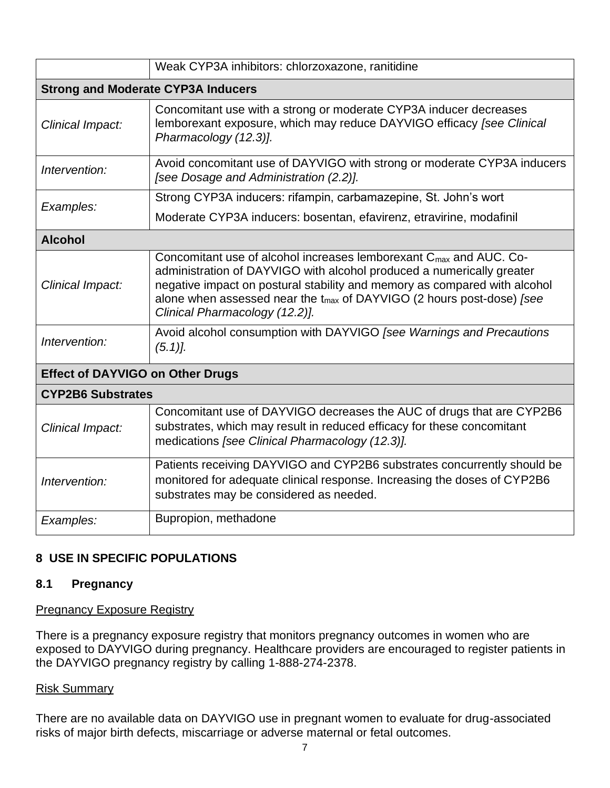|                                           | Weak CYP3A inhibitors: chlorzoxazone, ranitidine                                                                                                                                                                                                                                                                                                            |  |  |  |
|-------------------------------------------|-------------------------------------------------------------------------------------------------------------------------------------------------------------------------------------------------------------------------------------------------------------------------------------------------------------------------------------------------------------|--|--|--|
| <b>Strong and Moderate CYP3A Inducers</b> |                                                                                                                                                                                                                                                                                                                                                             |  |  |  |
| Clinical Impact:                          | Concomitant use with a strong or moderate CYP3A inducer decreases<br>lemborexant exposure, which may reduce DAYVIGO efficacy [see Clinical<br>Pharmacology (12.3)].                                                                                                                                                                                         |  |  |  |
| Intervention:                             | Avoid concomitant use of DAYVIGO with strong or moderate CYP3A inducers<br>[see Dosage and Administration (2.2)].                                                                                                                                                                                                                                           |  |  |  |
| Examples:                                 | Strong CYP3A inducers: rifampin, carbamazepine, St. John's wort                                                                                                                                                                                                                                                                                             |  |  |  |
|                                           | Moderate CYP3A inducers: bosentan, efavirenz, etravirine, modafinil                                                                                                                                                                                                                                                                                         |  |  |  |
| <b>Alcohol</b>                            |                                                                                                                                                                                                                                                                                                                                                             |  |  |  |
| Clinical Impact:                          | Concomitant use of alcohol increases lemborexant $C_{\text{max}}$ and AUC. Co-<br>administration of DAYVIGO with alcohol produced a numerically greater<br>negative impact on postural stability and memory as compared with alcohol<br>alone when assessed near the t <sub>max</sub> of DAYVIGO (2 hours post-dose) [see<br>Clinical Pharmacology (12.2)]. |  |  |  |
| Intervention:                             | Avoid alcohol consumption with DAYVIGO [see Warnings and Precautions<br>$(5.1)$ .                                                                                                                                                                                                                                                                           |  |  |  |
| <b>Effect of DAYVIGO on Other Drugs</b>   |                                                                                                                                                                                                                                                                                                                                                             |  |  |  |
| <b>CYP2B6 Substrates</b>                  |                                                                                                                                                                                                                                                                                                                                                             |  |  |  |
| Clinical Impact:                          | Concomitant use of DAYVIGO decreases the AUC of drugs that are CYP2B6<br>substrates, which may result in reduced efficacy for these concomitant<br>medications [see Clinical Pharmacology (12.3)].                                                                                                                                                          |  |  |  |
| Intervention:                             | Patients receiving DAYVIGO and CYP2B6 substrates concurrently should be<br>monitored for adequate clinical response. Increasing the doses of CYP2B6<br>substrates may be considered as needed.                                                                                                                                                              |  |  |  |
| Examples:                                 | Bupropion, methadone                                                                                                                                                                                                                                                                                                                                        |  |  |  |

## **8 USE IN SPECIFIC POPULATIONS**

#### **8.1 Pregnancy**

## **Pregnancy Exposure Registry**

There is a pregnancy exposure registry that monitors pregnancy outcomes in women who are exposed to DAYVIGO during pregnancy. Healthcare providers are encouraged to register patients in the DAYVIGO pregnancy registry by calling 1-888-274-2378.

#### Risk Summary

There are no available data on DAYVIGO use in pregnant women to evaluate for drug-associated risks of major birth defects, miscarriage or adverse maternal or fetal outcomes.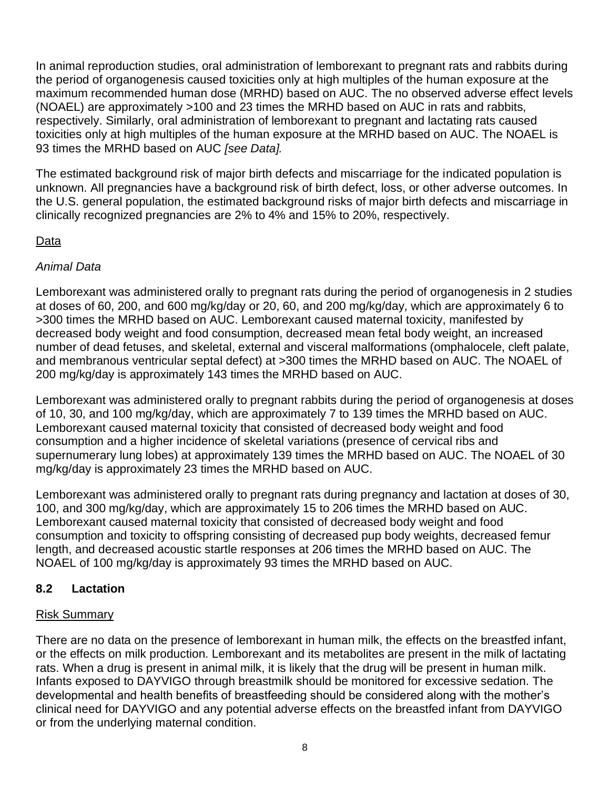In animal reproduction studies, oral administration of lemborexant to pregnant rats and rabbits during the period of organogenesis caused toxicities only at high multiples of the human exposure at the maximum recommended human dose (MRHD) based on AUC. The no observed adverse effect levels (NOAEL) are approximately >100 and 23 times the MRHD based on AUC in rats and rabbits, respectively. Similarly, oral administration of lemborexant to pregnant and lactating rats caused toxicities only at high multiples of the human exposure at the MRHD based on AUC. The NOAEL is 93 times the MRHD based on AUC *[see Data].*

The estimated background risk of major birth defects and miscarriage for the indicated population is unknown. All pregnancies have a background risk of birth defect, loss, or other adverse outcomes. In the U.S. general population, the estimated background risks of major birth defects and miscarriage in clinically recognized pregnancies are 2% to 4% and 15% to 20%, respectively.

## Data

## *Animal Data*

Lemborexant was administered orally to pregnant rats during the period of organogenesis in 2 studies at doses of 60, 200, and 600 mg/kg/day or 20, 60, and 200 mg/kg/day, which are approximately 6 to >300 times the MRHD based on AUC. Lemborexant caused maternal toxicity, manifested by decreased body weight and food consumption, decreased mean fetal body weight, an increased number of dead fetuses, and skeletal, external and visceral malformations (omphalocele, cleft palate, and membranous ventricular septal defect) at >300 times the MRHD based on AUC. The NOAEL of 200 mg/kg/day is approximately 143 times the MRHD based on AUC.

Lemborexant was administered orally to pregnant rabbits during the period of organogenesis at doses of 10, 30, and 100 mg/kg/day, which are approximately 7 to 139 times the MRHD based on AUC. Lemborexant caused maternal toxicity that consisted of decreased body weight and food consumption and a higher incidence of skeletal variations (presence of cervical ribs and supernumerary lung lobes) at approximately 139 times the MRHD based on AUC. The NOAEL of 30 mg/kg/day is approximately 23 times the MRHD based on AUC.

Lemborexant was administered orally to pregnant rats during pregnancy and lactation at doses of 30, 100, and 300 mg/kg/day, which are approximately 15 to 206 times the MRHD based on AUC. Lemborexant caused maternal toxicity that consisted of decreased body weight and food consumption and toxicity to offspring consisting of decreased pup body weights, decreased femur length, and decreased acoustic startle responses at 206 times the MRHD based on AUC. The NOAEL of 100 mg/kg/day is approximately 93 times the MRHD based on AUC.

## **8.2 Lactation**

# Risk Summary

There are no data on the presence of lemborexant in human milk, the effects on the breastfed infant, or the effects on milk production. Lemborexant and its metabolites are present in the milk of lactating rats. When a drug is present in animal milk, it is likely that the drug will be present in human milk. Infants exposed to DAYVIGO through breastmilk should be monitored for excessive sedation. The developmental and health benefits of breastfeeding should be considered along with the mother's clinical need for DAYVIGO and any potential adverse effects on the breastfed infant from DAYVIGO or from the underlying maternal condition.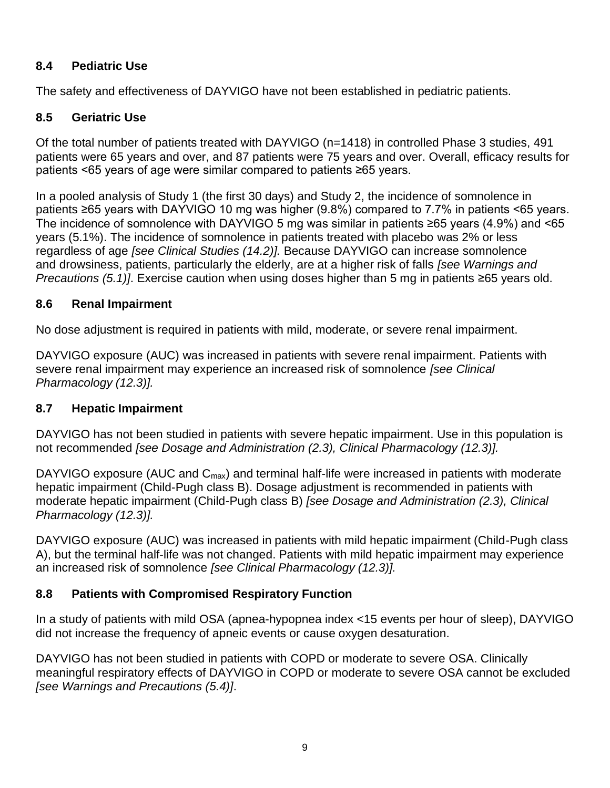## **8.4 Pediatric Use**

The safety and effectiveness of DAYVIGO have not been established in pediatric patients.

# **8.5 Geriatric Use**

Of the total number of patients treated with DAYVIGO (n=1418) in controlled Phase 3 studies, 491 patients were 65 years and over, and 87 patients were 75 years and over. Overall, efficacy results for patients <65 years of age were similar compared to patients ≥65 years.

In a pooled analysis of Study 1 (the first 30 days) and Study 2, the incidence of somnolence in patients ≥65 years with DAYVIGO 10 mg was higher (9.8%) compared to 7.7% in patients <65 years. The incidence of somnolence with DAYVIGO 5 mg was similar in patients ≥65 years (4.9%) and <65 years (5.1%). The incidence of somnolence in patients treated with placebo was 2% or less regardless of age *[see Clinical Studies (14.2)].* Because DAYVIGO can increase somnolence and drowsiness, patients, particularly the elderly, are at a higher risk of falls *[see Warnings and Precautions (5.1)]*. Exercise caution when using doses higher than 5 mg in patients ≥65 years old.

## **8.6 Renal Impairment**

No dose adjustment is required in patients with mild, moderate, or severe renal impairment.

DAYVIGO exposure (AUC) was increased in patients with severe renal impairment. Patients with severe renal impairment may experience an increased risk of somnolence *[see Clinical Pharmacology (12.3)].*

## **8.7 Hepatic Impairment**

DAYVIGO has not been studied in patients with severe hepatic impairment. Use in this population is not recommended *[see Dosage and Administration (2.3), Clinical Pharmacology (12.3)].*

DAYVIGO exposure (AUC and  $C_{\text{max}}$ ) and terminal half-life were increased in patients with moderate hepatic impairment (Child-Pugh class B). Dosage adjustment is recommended in patients with moderate hepatic impairment (Child-Pugh class B) *[see Dosage and Administration (2.3), Clinical Pharmacology (12.3)].*

DAYVIGO exposure (AUC) was increased in patients with mild hepatic impairment (Child-Pugh class A), but the terminal half-life was not changed. Patients with mild hepatic impairment may experience an increased risk of somnolence *[see Clinical Pharmacology (12.3)].*

# **8.8 Patients with Compromised Respiratory Function**

In a study of patients with mild OSA (apnea-hypopnea index <15 events per hour of sleep), DAYVIGO did not increase the frequency of apneic events or cause oxygen desaturation.

DAYVIGO has not been studied in patients with COPD or moderate to severe OSA. Clinically meaningful respiratory effects of DAYVIGO in COPD or moderate to severe OSA cannot be excluded *[see Warnings and Precautions (5.4)]*.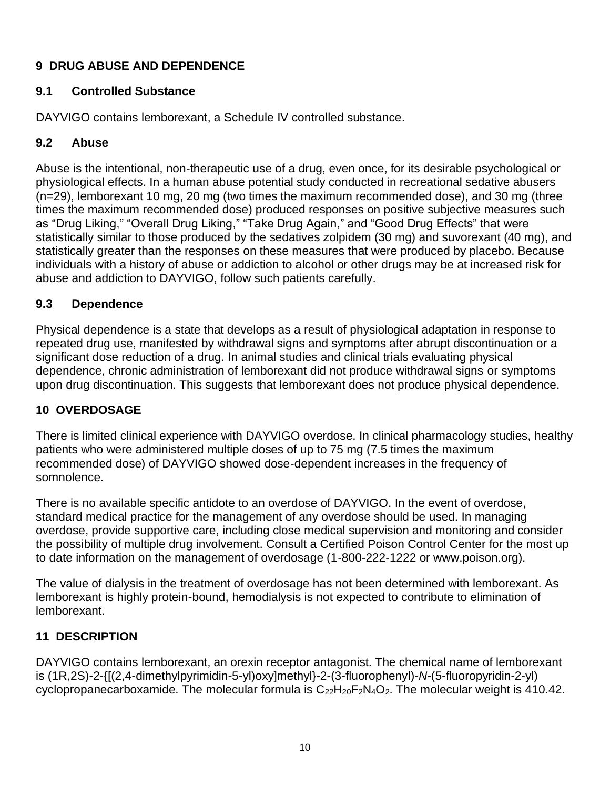# **9 DRUG ABUSE AND DEPENDENCE**

## **9.1 Controlled Substance**

DAYVIGO contains lemborexant, a Schedule IV controlled substance.

# **9.2 Abuse**

Abuse is the intentional, non-therapeutic use of a drug, even once, for its desirable psychological or physiological effects. In a human abuse potential study conducted in recreational sedative abusers (n=29), lemborexant 10 mg, 20 mg (two times the maximum recommended dose), and 30 mg (three times the maximum recommended dose) produced responses on positive subjective measures such as "Drug Liking," "Overall Drug Liking," "Take Drug Again," and "Good Drug Effects" that were statistically similar to those produced by the sedatives zolpidem (30 mg) and suvorexant (40 mg), and statistically greater than the responses on these measures that were produced by placebo. Because individuals with a history of abuse or addiction to alcohol or other drugs may be at increased risk for abuse and addiction to DAYVIGO, follow such patients carefully.

## **9.3 Dependence**

Physical dependence is a state that develops as a result of physiological adaptation in response to repeated drug use, manifested by withdrawal signs and symptoms after abrupt discontinuation or a significant dose reduction of a drug. In animal studies and clinical trials evaluating physical dependence, chronic administration of lemborexant did not produce withdrawal signs or symptoms upon drug discontinuation. This suggests that lemborexant does not produce physical dependence.

# **10 OVERDOSAGE**

There is limited clinical experience with DAYVIGO overdose. In clinical pharmacology studies, healthy patients who were administered multiple doses of up to 75 mg (7.5 times the maximum recommended dose) of DAYVIGO showed dose-dependent increases in the frequency of somnolence.

There is no available specific antidote to an overdose of DAYVIGO. In the event of overdose, standard medical practice for the management of any overdose should be used. In managing overdose, provide supportive care, including close medical supervision and monitoring and consider the possibility of multiple drug involvement. Consult a Certified Poison Control Center for the most up to date information on the management of overdosage (1-800-222-1222 or www.poison.org).

The value of dialysis in the treatment of overdosage has not been determined with lemborexant. As lemborexant is highly protein-bound, hemodialysis is not expected to contribute to elimination of lemborexant.

# **11 DESCRIPTION**

DAYVIGO contains lemborexant, an orexin receptor antagonist. The chemical name of lemborexant is (1R,2S)-2-{[(2,4-dimethylpyrimidin-5-yl)oxy]methyl}-2-(3-fluorophenyl)-*N*-(5-fluoropyridin-2-yl) cyclopropanecarboxamide. The molecular formula is  $C_{22}H_{20}F_2N_4O_2$ . The molecular weight is 410.42.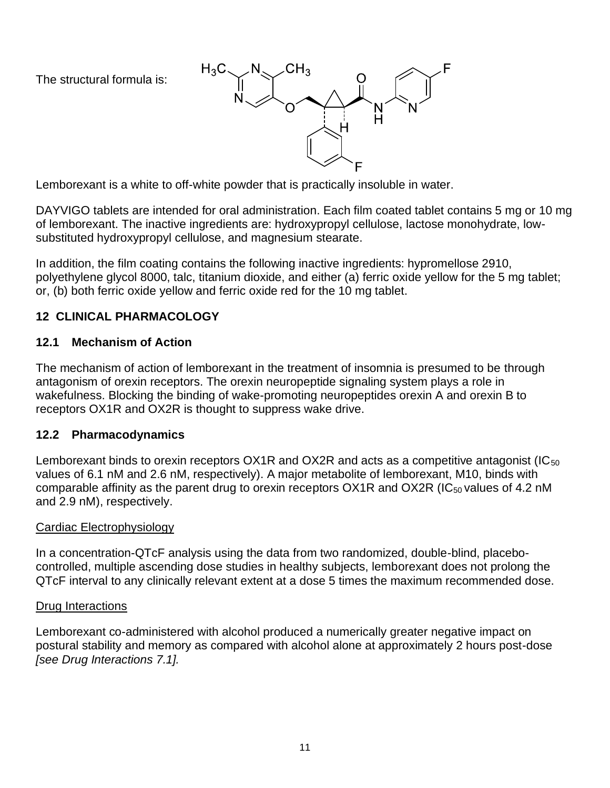The structural formula is:



Lemborexant is a white to off-white powder that is practically insoluble in water.

DAYVIGO tablets are intended for oral administration. Each film coated tablet contains 5 mg or 10 mg of lemborexant. The inactive ingredients are: hydroxypropyl cellulose, lactose monohydrate, lowsubstituted hydroxypropyl cellulose, and magnesium stearate.

In addition, the film coating contains the following inactive ingredients: hypromellose 2910, polyethylene glycol 8000, talc, titanium dioxide, and either (a) ferric oxide yellow for the 5 mg tablet; or, (b) both ferric oxide yellow and ferric oxide red for the 10 mg tablet.

## **12 CLINICAL PHARMACOLOGY**

## **12.1 Mechanism of Action**

The mechanism of action of lemborexant in the treatment of insomnia is presumed to be through antagonism of orexin receptors. The orexin neuropeptide signaling system plays a role in wakefulness. Blocking the binding of wake-promoting neuropeptides orexin A and orexin B to receptors OX1R and OX2R is thought to suppress wake drive.

## **12.2 Pharmacodynamics**

Lemborexant binds to orexin receptors  $OX1R$  and  $OX2R$  and acts as a competitive antagonist (IC<sub>50</sub>) values of 6.1 nM and 2.6 nM, respectively). A major metabolite of lemborexant, M10, binds with comparable affinity as the parent drug to orexin receptors OX1R and OX2R (IC<sub>50</sub> values of 4.2 nM and 2.9 nM), respectively.

#### Cardiac Electrophysiology

In a concentration-QTcF analysis using the data from two randomized, double-blind, placebocontrolled, multiple ascending dose studies in healthy subjects, lemborexant does not prolong the QTcF interval to any clinically relevant extent at a dose 5 times the maximum recommended dose.

#### Drug Interactions

Lemborexant co-administered with alcohol produced a numerically greater negative impact on postural stability and memory as compared with alcohol alone at approximately 2 hours post-dose *[see Drug Interactions 7.1].*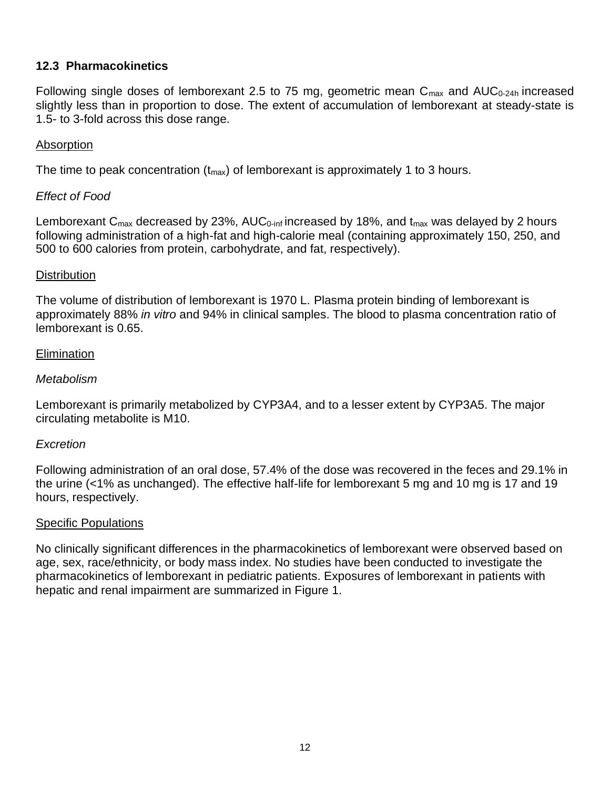#### **12.3 Pharmacokinetics**

Following single doses of lemborexant 2.5 to 75 mg, geometric mean  $C_{\text{max}}$  and  $AUC_{0-24h}$  increased slightly less than in proportion to dose. The extent of accumulation of lemborexant at steady-state is 1.5- to 3-fold across this dose range.

#### Absorption

The time to peak concentration ( $t_{max}$ ) of lemborexant is approximately 1 to 3 hours.

#### *Effect of Food*

Lemborexant  $C_{\text{max}}$  decreased by 23%, AU $C_{0\text{-inf}}$  increased by 18%, and  $t_{\text{max}}$  was delayed by 2 hours following administration of a high-fat and high-calorie meal (containing approximately 150, 250, and 500 to 600 calories from protein, carbohydrate, and fat, respectively).

#### **Distribution**

The volume of distribution of lemborexant is 1970 L. Plasma protein binding of lemborexant is approximately 88% *in vitro* and 94% in clinical samples. The blood to plasma concentration ratio of lemborexant is 0.65.

#### **Elimination**

#### *Metabolism*

Lemborexant is primarily metabolized by CYP3A4, and to a lesser extent by CYP3A5. The major circulating metabolite is M10.

#### *Excretion*

Following administration of an oral dose, 57.4% of the dose was recovered in the feces and 29.1% in the urine (<1% as unchanged). The effective half-life for lemborexant 5 mg and 10 mg is 17 and 19 hours, respectively.

#### Specific Populations

No clinically significant differences in the pharmacokinetics of lemborexant were observed based on age, sex, race/ethnicity, or body mass index. No studies have been conducted to investigate the pharmacokinetics of lemborexant in pediatric patients. Exposures of lemborexant in patients with hepatic and renal impairment are summarized in Figure 1.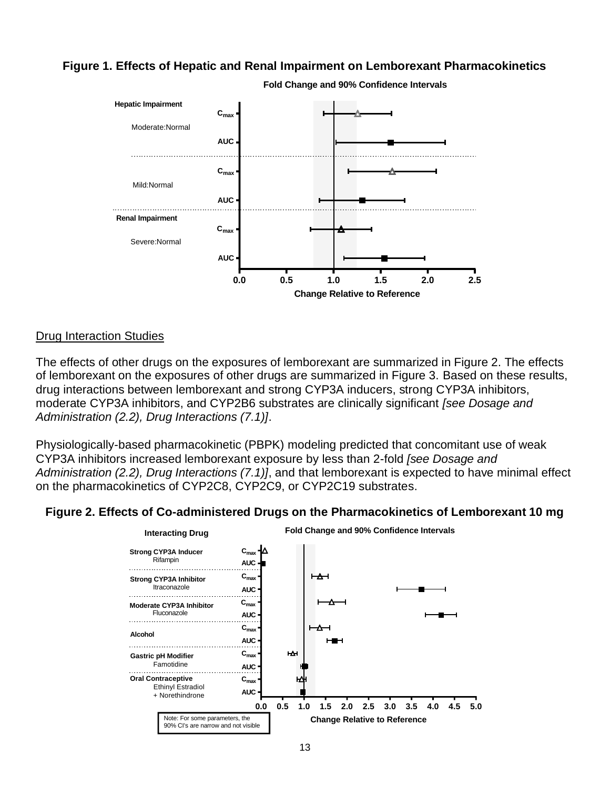#### **Figure 1. Effects of Hepatic and Renal Impairment on Lemborexant Pharmacokinetics**



**Fold Change and 90% Confidence Intervals**

#### Drug Interaction Studies

The effects of other drugs on the exposures of lemborexant are summarized in Figure 2. The effects of lemborexant on the exposures of other drugs are summarized in Figure 3. Based on these results, drug interactions between lemborexant and strong CYP3A inducers, strong CYP3A inhibitors, moderate CYP3A inhibitors, and CYP2B6 substrates are clinically significant *[see Dosage and Administration (2.2), Drug Interactions (7.1)]*.

Physiologically-based pharmacokinetic (PBPK) modeling predicted that concomitant use of weak CYP3A inhibitors increased lemborexant exposure by less than 2-fold *[see Dosage and Administration (2.2), Drug Interactions (7.1)]*, and that lemborexant is expected to have minimal effect on the pharmacokinetics of CYP2C8, CYP2C9, or CYP2C19 substrates.

#### **Figure 2. Effects of Co-administered Drugs on the Pharmacokinetics of Lemborexant 10 mg**

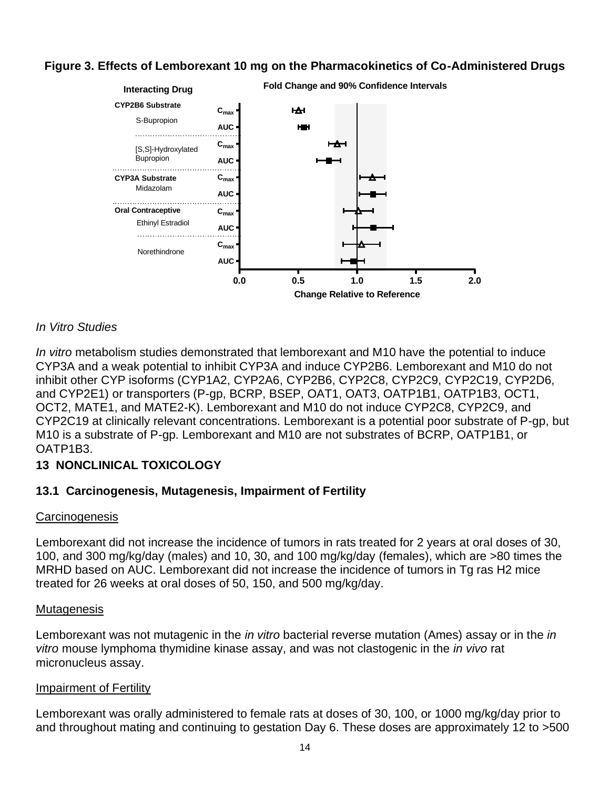## **Figure 3. Effects of Lemborexant 10 mg on the Pharmacokinetics of Co-Administered Drugs**



#### *In Vitro Studies*

*In vitro* metabolism studies demonstrated that lemborexant and M10 have the potential to induce CYP3A and a weak potential to inhibit CYP3A and induce CYP2B6. Lemborexant and M10 do not inhibit other CYP isoforms (CYP1A2, CYP2A6, CYP2B6, CYP2C8, CYP2C9, CYP2C19, CYP2D6, and CYP2E1) or transporters (P-gp, BCRP, BSEP, OAT1, OAT3, OATP1B1, OATP1B3, OCT1, OCT2, MATE1, and MATE2-K). Lemborexant and M10 do not induce CYP2C8, CYP2C9, and CYP2C19 at clinically relevant concentrations. Lemborexant is a potential poor substrate of P-gp, but M10 is a substrate of P-gp. Lemborexant and M10 are not substrates of BCRP, OATP1B1, or OATP1B3.

#### **13 NONCLINICAL TOXICOLOGY**

#### **13.1 Carcinogenesis, Mutagenesis, Impairment of Fertility**

#### **Carcinogenesis**

Lemborexant did not increase the incidence of tumors in rats treated for 2 years at oral doses of 30, 100, and 300 mg/kg/day (males) and 10, 30, and 100 mg/kg/day (females), which are >80 times the MRHD based on AUC. Lemborexant did not increase the incidence of tumors in Tg ras H2 mice treated for 26 weeks at oral doses of 50, 150, and 500 mg/kg/day.

#### **Mutagenesis**

Lemborexant was not mutagenic in the *in vitro* bacterial reverse mutation (Ames) assay or in the *in vitro* mouse lymphoma thymidine kinase assay, and was not clastogenic in the *in vivo* rat micronucleus assay.

#### **Impairment of Fertility**

Lemborexant was orally administered to female rats at doses of 30, 100, or 1000 mg/kg/day prior to and throughout mating and continuing to gestation Day 6. These doses are approximately 12 to >500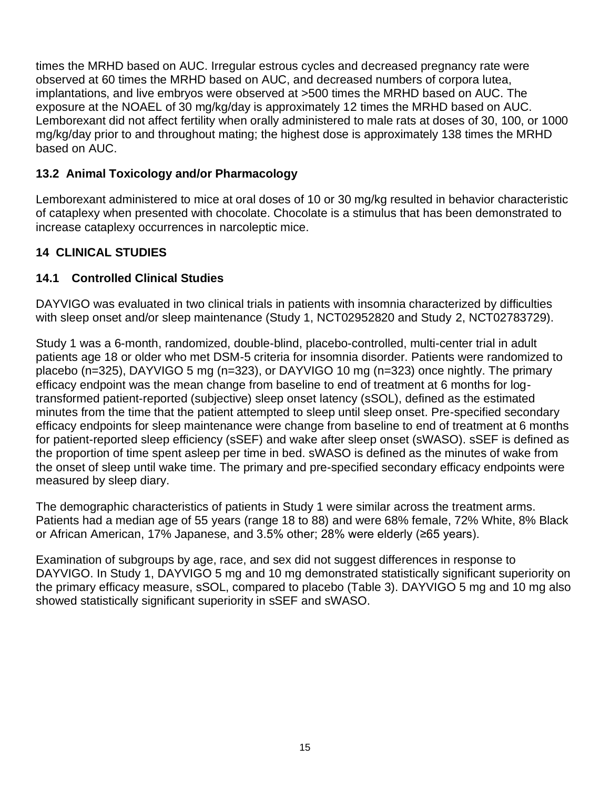times the MRHD based on AUC. Irregular estrous cycles and decreased pregnancy rate were observed at 60 times the MRHD based on AUC, and decreased numbers of corpora lutea, implantations, and live embryos were observed at >500 times the MRHD based on AUC. The exposure at the NOAEL of 30 mg/kg/day is approximately 12 times the MRHD based on AUC. Lemborexant did not affect fertility when orally administered to male rats at doses of 30, 100, or 1000 mg/kg/day prior to and throughout mating; the highest dose is approximately 138 times the MRHD based on AUC.

## **13.2 Animal Toxicology and/or Pharmacology**

Lemborexant administered to mice at oral doses of 10 or 30 mg/kg resulted in behavior characteristic of cataplexy when presented with chocolate. Chocolate is a stimulus that has been demonstrated to increase cataplexy occurrences in narcoleptic mice.

# **14 CLINICAL STUDIES**

# **14.1 Controlled Clinical Studies**

DAYVIGO was evaluated in two clinical trials in patients with insomnia characterized by difficulties with sleep onset and/or sleep maintenance (Study 1, NCT02952820 and Study 2, NCT02783729).

Study 1 was a 6-month, randomized, double-blind, placebo-controlled, multi-center trial in adult patients age 18 or older who met DSM-5 criteria for insomnia disorder. Patients were randomized to placebo (n=325), DAYVIGO 5 mg (n=323), or DAYVIGO 10 mg (n=323) once nightly. The primary efficacy endpoint was the mean change from baseline to end of treatment at 6 months for logtransformed patient-reported (subjective) sleep onset latency (sSOL), defined as the estimated minutes from the time that the patient attempted to sleep until sleep onset. Pre-specified secondary efficacy endpoints for sleep maintenance were change from baseline to end of treatment at 6 months for patient-reported sleep efficiency (sSEF) and wake after sleep onset (sWASO). sSEF is defined as the proportion of time spent asleep per time in bed. sWASO is defined as the minutes of wake from the onset of sleep until wake time. The primary and pre-specified secondary efficacy endpoints were measured by sleep diary.

The demographic characteristics of patients in Study 1 were similar across the treatment arms. Patients had a median age of 55 years (range 18 to 88) and were 68% female, 72% White, 8% Black or African American, 17% Japanese, and 3.5% other; 28% were elderly (≥65 years).

Examination of subgroups by age, race, and sex did not suggest differences in response to DAYVIGO. In Study 1, DAYVIGO 5 mg and 10 mg demonstrated statistically significant superiority on the primary efficacy measure, sSOL, compared to placebo (Table 3). DAYVIGO 5 mg and 10 mg also showed statistically significant superiority in sSEF and sWASO.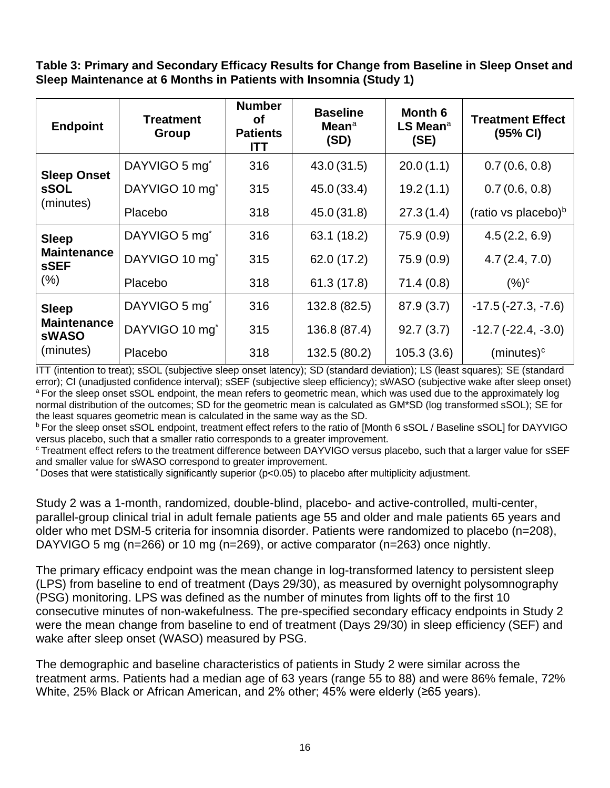**Table 3: Primary and Secondary Efficacy Results for Change from Baseline in Sleep Onset and Sleep Maintenance at 6 Months in Patients with Insomnia (Study 1)**

| <b>Endpoint</b>                                                 | <b>Treatment</b><br><b>Group</b> | <b>Number</b><br><b>of</b><br><b>Patients</b><br><b>ITT</b> | <b>Baseline</b><br>Mean <sup>a</sup><br>(SD) | Month 6<br>LS Mean <sup>a</sup><br>(SE) | <b>Treatment Effect</b><br>(95% CI) |
|-----------------------------------------------------------------|----------------------------------|-------------------------------------------------------------|----------------------------------------------|-----------------------------------------|-------------------------------------|
| <b>Sleep Onset</b><br><b>sSOL</b><br>(minutes)                  | DAYVIGO 5 mg <sup>*</sup>        | 316                                                         | 43.0(31.5)                                   | 20.0(1.1)                               | 0.7(0.6, 0.8)                       |
|                                                                 | DAYVIGO 10 mg <sup>*</sup>       | 315                                                         | 45.0 (33.4)                                  | 19.2(1.1)                               | 0.7(0.6, 0.8)                       |
|                                                                 | Placebo                          | 318                                                         | 45.0 (31.8)                                  | 27.3(1.4)                               | (ratio vs placebo) <sup>b</sup>     |
| <b>Sleep</b><br><b>Maintenance</b><br><b>sSEF</b><br>(% )       | DAYVIGO 5 mg <sup>*</sup>        | 316                                                         | 63.1 (18.2)                                  | 75.9 (0.9)                              | 4.5(2.2, 6.9)                       |
|                                                                 | DAYVIGO 10 mg <sup>*</sup>       | 315                                                         | 62.0 (17.2)                                  | 75.9 (0.9)                              | 4.7(2.4, 7.0)                       |
|                                                                 | Placebo                          | 318                                                         | 61.3(17.8)                                   | 71.4(0.8)                               | $(%)^c$                             |
| <b>Sleep</b><br><b>Maintenance</b><br><b>sWASO</b><br>(minutes) | DAYVIGO 5 mg <sup>*</sup>        | 316                                                         | 132.8 (82.5)                                 | 87.9(3.7)                               | $-17.5(-27.3, -7.6)$                |
|                                                                 | DAYVIGO 10 mg <sup>*</sup>       | 315                                                         | 136.8 (87.4)                                 | 92.7(3.7)                               | $-12.7(-22.4, -3.0)$                |
|                                                                 | Placebo                          | 318                                                         | 132.5 (80.2)                                 | 105.3(3.6)                              | $(minutes)^c$                       |

ITT (intention to treat); sSOL (subjective sleep onset latency); SD (standard deviation); LS (least squares); SE (standard error); CI (unadjusted confidence interval); sSEF (subjective sleep efficiency); sWASO (subjective wake after sleep onset) <sup>a</sup> For the sleep onset sSOL endpoint, the mean refers to geometric mean, which was used due to the approximately log normal distribution of the outcomes; SD for the geometric mean is calculated as GM\*SD (log transformed sSOL); SE for the least squares geometric mean is calculated in the same way as the SD.

**b** For the sleep onset sSOL endpoint, treatment effect refers to the ratio of [Month 6 sSOL / Baseline sSOL] for DAYVIGO versus placebo, such that a smaller ratio corresponds to a greater improvement.

<sup>c</sup> Treatment effect refers to the treatment difference between DAYVIGO versus placebo, such that a larger value for sSEF and smaller value for sWASO correspond to greater improvement.

\* Doses that were statistically significantly superior (p<0.05) to placebo after multiplicity adjustment.

Study 2 was a 1-month, randomized, double-blind, placebo- and active-controlled, multi-center, parallel-group clinical trial in adult female patients age 55 and older and male patients 65 years and older who met DSM-5 criteria for insomnia disorder. Patients were randomized to placebo (n=208), DAYVIGO 5 mg (n=266) or 10 mg (n=269), or active comparator (n=263) once nightly.

The primary efficacy endpoint was the mean change in log-transformed latency to persistent sleep (LPS) from baseline to end of treatment (Days 29/30), as measured by overnight polysomnography (PSG) monitoring. LPS was defined as the number of minutes from lights off to the first 10 consecutive minutes of non-wakefulness. The pre-specified secondary efficacy endpoints in Study 2 were the mean change from baseline to end of treatment (Days 29/30) in sleep efficiency (SEF) and wake after sleep onset (WASO) measured by PSG.

The demographic and baseline characteristics of patients in Study 2 were similar across the treatment arms. Patients had a median age of 63 years (range 55 to 88) and were 86% female, 72% White, 25% Black or African American, and 2% other; 45% were elderly (≥65 years).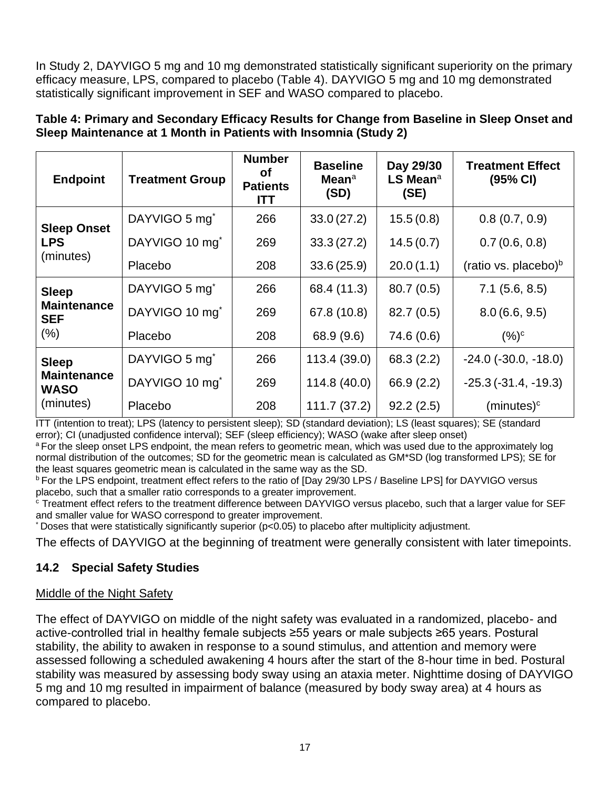In Study 2, DAYVIGO 5 mg and 10 mg demonstrated statistically significant superiority on the primary efficacy measure, LPS, compared to placebo (Table 4). DAYVIGO 5 mg and 10 mg demonstrated statistically significant improvement in SEF and WASO compared to placebo.

| <b>Endpoint</b>                                                | <b>Treatment Group</b>     | <b>Number</b><br>οf<br><b>Patients</b><br><b>ITT</b> | <b>Baseline</b><br><b>Mean</b> <sup>a</sup><br>(SD) | Day 29/30<br>$LS$ Mean <sup>a</sup><br>(SE) | <b>Treatment Effect</b><br>(95% CI) |
|----------------------------------------------------------------|----------------------------|------------------------------------------------------|-----------------------------------------------------|---------------------------------------------|-------------------------------------|
| <b>Sleep Onset</b><br><b>LPS</b><br>(minutes)                  | DAYVIGO 5 mg <sup>*</sup>  | 266                                                  | 33.0(27.2)                                          | 15.5(0.8)                                   | 0.8(0.7, 0.9)                       |
|                                                                | DAYVIGO 10 mg <sup>*</sup> | 269                                                  | 33.3(27.2)                                          | 14.5(0.7)                                   | 0.7(0.6, 0.8)                       |
|                                                                | Placebo                    | 208                                                  | 33.6(25.9)                                          | 20.0(1.1)                                   | (ratio vs. placebo) $\rm^b$         |
| <b>Sleep</b><br><b>Maintenance</b><br><b>SEF</b><br>$(\% )$    | DAYVIGO 5 mg <sup>*</sup>  | 266                                                  | 68.4 (11.3)                                         | 80.7(0.5)                                   | $7.1$ (5.6, 8.5)                    |
|                                                                | DAYVIGO 10 mg <sup>*</sup> | 269                                                  | 67.8 (10.8)                                         | 82.7(0.5)                                   | 8.0(6.6, 9.5)                       |
|                                                                | Placebo                    | 208                                                  | 68.9 (9.6)                                          | 74.6 (0.6)                                  | $(%)^c$                             |
| <b>Sleep</b><br><b>Maintenance</b><br><b>WASO</b><br>(minutes) | DAYVIGO 5 mg <sup>*</sup>  | 266                                                  | 113.4(39.0)                                         | 68.3 (2.2)                                  | $-24.0$ ( $-30.0, -18.0$ )          |
|                                                                | DAYVIGO 10 mg <sup>*</sup> | 269                                                  | 114.8(40.0)                                         | 66.9(2.2)                                   | $-25.3(-31.4, -19.3)$               |
|                                                                | Placebo                    | 208                                                  | 111.7(37.2)                                         | 92.2(2.5)                                   | $(minutes)^c$                       |

**Table 4: Primary and Secondary Efficacy Results for Change from Baseline in Sleep Onset and Sleep Maintenance at 1 Month in Patients with Insomnia (Study 2)**

ITT (intention to treat); LPS (latency to persistent sleep); SD (standard deviation); LS (least squares); SE (standard error); CI (unadjusted confidence interval); SEF (sleep efficiency); WASO (wake after sleep onset)

<sup>a</sup> For the sleep onset LPS endpoint, the mean refers to geometric mean, which was used due to the approximately log normal distribution of the outcomes; SD for the geometric mean is calculated as GM\*SD (log transformed LPS); SE for the least squares geometric mean is calculated in the same way as the SD.

<sup>b</sup> For the LPS endpoint, treatment effect refers to the ratio of [Day 29/30 LPS / Baseline LPS] for DAYVIGO versus placebo, such that a smaller ratio corresponds to a greater improvement.

<sup>c</sup> Treatment effect refers to the treatment difference between DAYVIGO versus placebo, such that a larger value for SEF and smaller value for WASO correspond to greater improvement.

\* Doses that were statistically significantly superior (p<0.05) to placebo after multiplicity adjustment.

The effects of DAYVIGO at the beginning of treatment were generally consistent with later timepoints.

## **14.2 Special Safety Studies**

## Middle of the Night Safety

The effect of DAYVIGO on middle of the night safety was evaluated in a randomized, placebo- and active-controlled trial in healthy female subjects ≥55 years or male subjects ≥65 years. Postural stability, the ability to awaken in response to a sound stimulus, and attention and memory were assessed following a scheduled awakening 4 hours after the start of the 8-hour time in bed. Postural stability was measured by assessing body sway using an ataxia meter. Nighttime dosing of DAYVIGO 5 mg and 10 mg resulted in impairment of balance (measured by body sway area) at 4 hours as compared to placebo.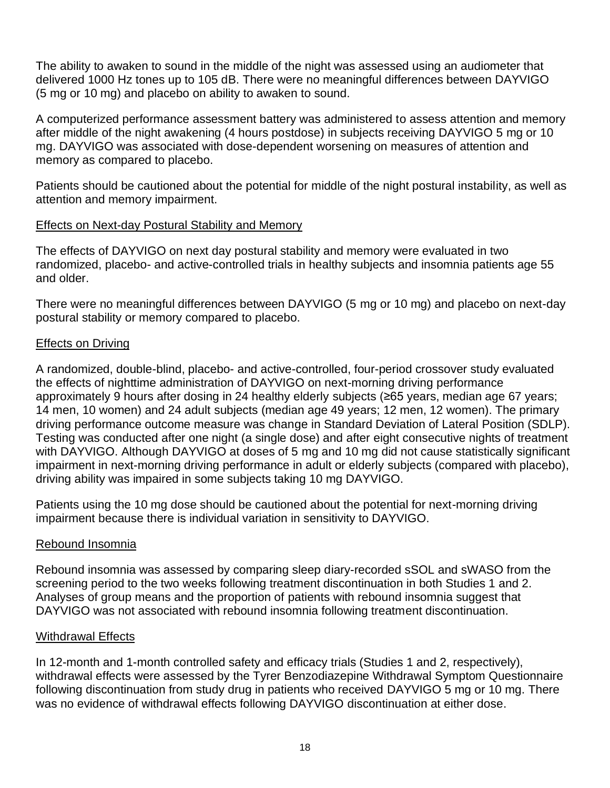The ability to awaken to sound in the middle of the night was assessed using an audiometer that delivered 1000 Hz tones up to 105 dB. There were no meaningful differences between DAYVIGO (5 mg or 10 mg) and placebo on ability to awaken to sound.

A computerized performance assessment battery was administered to assess attention and memory after middle of the night awakening (4 hours postdose) in subjects receiving DAYVIGO 5 mg or 10 mg. DAYVIGO was associated with dose-dependent worsening on measures of attention and memory as compared to placebo.

Patients should be cautioned about the potential for middle of the night postural instability, as well as attention and memory impairment.

## Effects on Next-day Postural Stability and Memory

The effects of DAYVIGO on next day postural stability and memory were evaluated in two randomized, placebo- and active-controlled trials in healthy subjects and insomnia patients age 55 and older.

There were no meaningful differences between DAYVIGO (5 mg or 10 mg) and placebo on next-day postural stability or memory compared to placebo.

## Effects on Driving

A randomized, double-blind, placebo- and active-controlled, four-period crossover study evaluated the effects of nighttime administration of DAYVIGO on next-morning driving performance approximately 9 hours after dosing in 24 healthy elderly subjects (≥65 years, median age 67 years; 14 men, 10 women) and 24 adult subjects (median age 49 years; 12 men, 12 women). The primary driving performance outcome measure was change in Standard Deviation of Lateral Position (SDLP). Testing was conducted after one night (a single dose) and after eight consecutive nights of treatment with DAYVIGO. Although DAYVIGO at doses of 5 mg and 10 mg did not cause statistically significant impairment in next-morning driving performance in adult or elderly subjects (compared with placebo), driving ability was impaired in some subjects taking 10 mg DAYVIGO.

Patients using the 10 mg dose should be cautioned about the potential for next-morning driving impairment because there is individual variation in sensitivity to DAYVIGO.

## Rebound Insomnia

Rebound insomnia was assessed by comparing sleep diary-recorded sSOL and sWASO from the screening period to the two weeks following treatment discontinuation in both Studies 1 and 2. Analyses of group means and the proportion of patients with rebound insomnia suggest that DAYVIGO was not associated with rebound insomnia following treatment discontinuation.

## Withdrawal Effects

In 12-month and 1-month controlled safety and efficacy trials (Studies 1 and 2, respectively), withdrawal effects were assessed by the Tyrer Benzodiazepine Withdrawal Symptom Questionnaire following discontinuation from study drug in patients who received DAYVIGO 5 mg or 10 mg. There was no evidence of withdrawal effects following DAYVIGO discontinuation at either dose.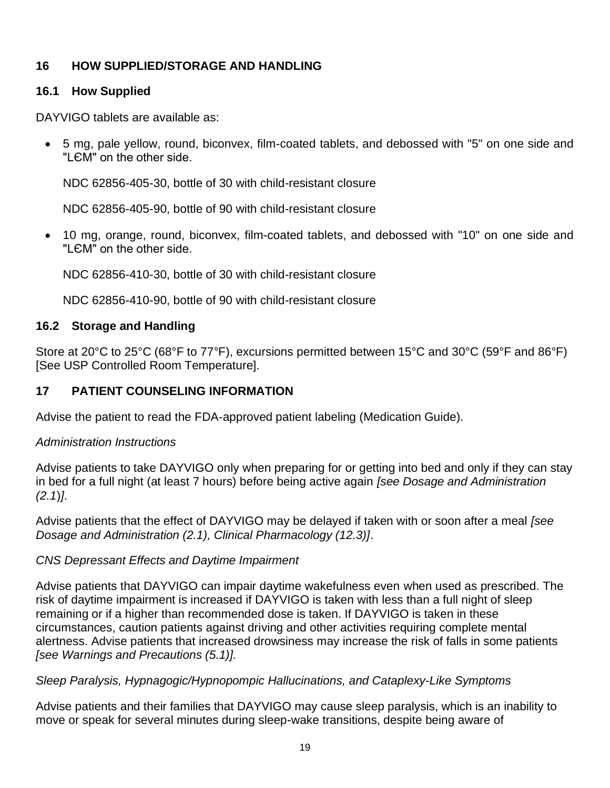## **16 HOW SUPPLIED/STORAGE AND HANDLING**

#### **16.1 How Supplied**

DAYVIGO tablets are available as:

• 5 mg, pale yellow, round, biconvex, film-coated tablets, and debossed with "5" on one side and "LЄM" on the other side.

NDC 62856-405-30, bottle of 30 with child-resistant closure

NDC 62856-405-90, bottle of 90 with child-resistant closure

• 10 mg, orange, round, biconvex, film-coated tablets, and debossed with "10" on one side and "I EM" on the other side.

NDC 62856-410-30, bottle of 30 with child-resistant closure

NDC 62856-410-90, bottle of 90 with child-resistant closure

## **16.2 Storage and Handling**

Store at 20°C to 25°C (68°F to 77°F), excursions permitted between 15°C and 30°C (59°F and 86°F) [See USP Controlled Room Temperature].

## **17 PATIENT COUNSELING INFORMATION**

Advise the patient to read the FDA-approved patient labeling (Medication Guide).

#### *Administration Instructions*

Advise patients to take DAYVIGO only when preparing for or getting into bed and only if they can stay in bed for a full night (at least 7 hours) before being active again *[see Dosage and Administration (2.1*)*]*.

Advise patients that the effect of DAYVIGO may be delayed if taken with or soon after a meal *[see Dosage and Administration (2.1), Clinical Pharmacology (12.3)]*.

## *CNS Depressant Effects and Daytime Impairment*

Advise patients that DAYVIGO can impair daytime wakefulness even when used as prescribed. The risk of daytime impairment is increased if DAYVIGO is taken with less than a full night of sleep remaining or if a higher than recommended dose is taken. If DAYVIGO is taken in these circumstances, caution patients against driving and other activities requiring complete mental alertness. Advise patients that increased drowsiness may increase the risk of falls in some patients *[see Warnings and Precautions (5.1)].*

#### *Sleep Paralysis, Hypnagogic/Hypnopompic Hallucinations, and Cataplexy-Like Symptoms*

Advise patients and their families that DAYVIGO may cause sleep paralysis, which is an inability to move or speak for several minutes during sleep-wake transitions, despite being aware of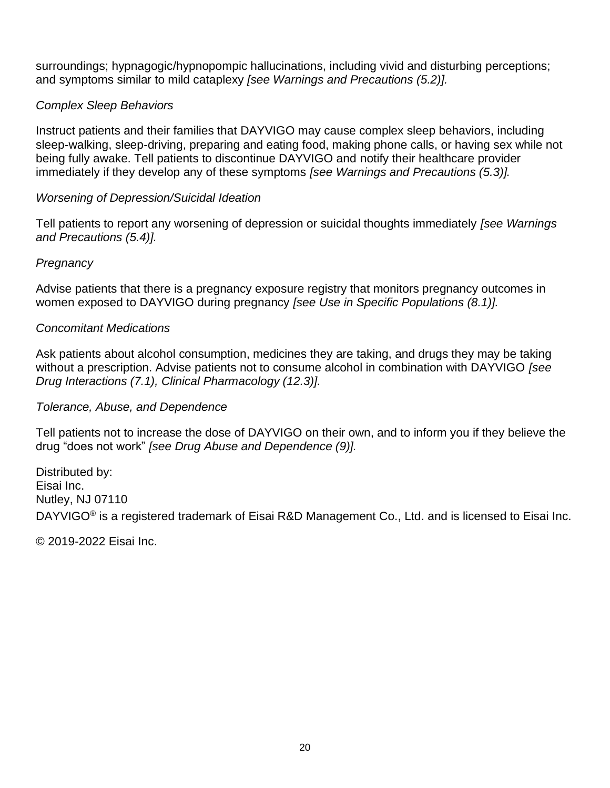surroundings; hypnagogic/hypnopompic hallucinations, including vivid and disturbing perceptions; and symptoms similar to mild cataplexy *[see Warnings and Precautions (5.2)].*

## *Complex Sleep Behaviors*

Instruct patients and their families that DAYVIGO may cause complex sleep behaviors, including sleep-walking, sleep-driving, preparing and eating food, making phone calls, or having sex while not being fully awake. Tell patients to discontinue DAYVIGO and notify their healthcare provider immediately if they develop any of these symptoms *[see Warnings and Precautions (5.3)].*

#### *Worsening of Depression/Suicidal Ideation*

Tell patients to report any worsening of depression or suicidal thoughts immediately *[see Warnings and Precautions (5.4)].*

#### *Pregnancy*

Advise patients that there is a pregnancy exposure registry that monitors pregnancy outcomes in women exposed to DAYVIGO during pregnancy *[see Use in Specific Populations (8.1)].*

#### *Concomitant Medications*

Ask patients about alcohol consumption, medicines they are taking, and drugs they may be taking without a prescription. Advise patients not to consume alcohol in combination with DAYVIGO *[see Drug Interactions (7.1), Clinical Pharmacology (12.3)].*

#### *Tolerance, Abuse, and Dependence*

Tell patients not to increase the dose of DAYVIGO on their own, and to inform you if they believe the drug "does not work" *[see Drug Abuse and Dependence (9)].*

Distributed by: Eisai Inc. Nutley, NJ 07110 DAYVIGO® is a registered trademark of Eisai R&D Management Co., Ltd. and is licensed to Eisai Inc.

© 2019-2022 Eisai Inc.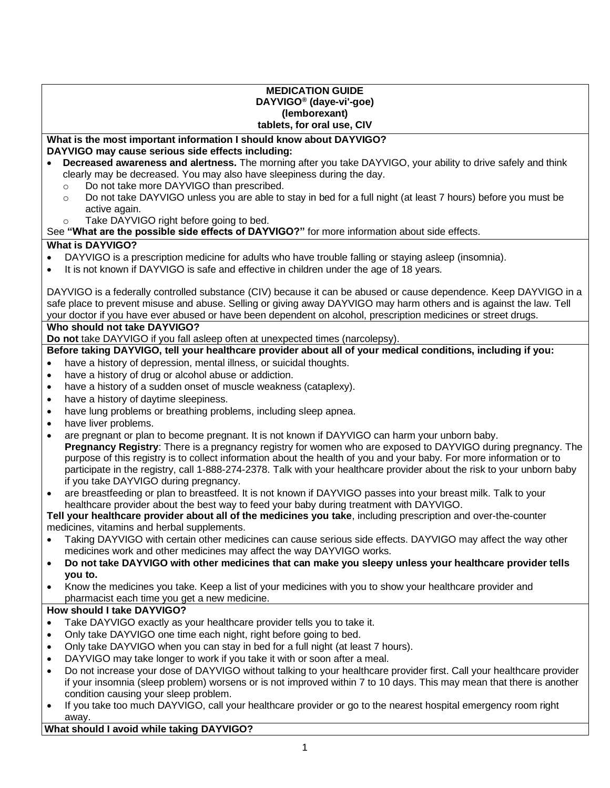#### **MEDICATION GUIDE DAYVIGO® (daye-vi'-goe) (lemborexant) tablets, for oral use, CIV**

#### **What is the most important information I should know about DAYVIGO? DAYVIGO may cause serious side effects including:**

- **Decreased awareness and alertness.** The morning after you take DAYVIGO, your ability to drive safely and think clearly may be decreased. You may also have sleepiness during the day.
	- o Do not take more DAYVIGO than prescribed.
	- o Do not take DAYVIGO unless you are able to stay in bed for a full night (at least 7 hours) before you must be active again.
	- o Take DAYVIGO right before going to bed.

See **"What are the possible side effects of DAYVIGO?"** for more information about side effects.

#### **What is DAYVIGO?**

- DAYVIGO is a prescription medicine for adults who have trouble falling or staying asleep (insomnia).
- It is not known if DAYVIGO is safe and effective in children under the age of 18 years.

DAYVIGO is a federally controlled substance (CIV) because it can be abused or cause dependence. Keep DAYVIGO in a safe place to prevent misuse and abuse. Selling or giving away DAYVIGO may harm others and is against the law. Tell your doctor if you have ever abused or have been dependent on alcohol, prescription medicines or street drugs.

#### **Who should not take DAYVIGO?**

**Do not** take DAYVIGO if you fall asleep often at unexpected times (narcolepsy).

#### **Before taking DAYVIGO, tell your healthcare provider about all of your medical conditions, including if you:**

- have a history of depression, mental illness, or suicidal thoughts.
- have a history of drug or alcohol abuse or addiction.
- have a history of a sudden onset of muscle weakness (cataplexy).
- have a history of daytime sleepiness.
- have lung problems or breathing problems, including sleep apnea.
- have liver problems.
- are pregnant or plan to become pregnant. It is not known if DAYVIGO can harm your unborn baby. **Pregnancy Registry**: There is a pregnancy registry for women who are exposed to DAYVIGO during pregnancy. The purpose of this registry is to collect information about the health of you and your baby. For more information or to participate in the registry, call 1-888-274-2378. Talk with your healthcare provider about the risk to your unborn baby if you take DAYVIGO during pregnancy.
- are breastfeeding or plan to breastfeed. It is not known if DAYVIGO passes into your breast milk. Talk to your healthcare provider about the best way to feed your baby during treatment with DAYVIGO.

**Tell your healthcare provider about all of the medicines you take**, including prescription and over-the-counter medicines, vitamins and herbal supplements.

- Taking DAYVIGO with certain other medicines can cause serious side effects. DAYVIGO may affect the way other medicines work and other medicines may affect the way DAYVIGO works.
- **Do not take DAYVIGO with other medicines that can make you sleepy unless your healthcare provider tells you to.**
- Know the medicines you take. Keep a list of your medicines with you to show your healthcare provider and pharmacist each time you get a new medicine.

#### **How should I take DAYVIGO?**

- Take DAYVIGO exactly as your healthcare provider tells you to take it.
- Only take DAYVIGO one time each night, right before going to bed.
- Only take DAYVIGO when you can stay in bed for a full night (at least 7 hours).
- DAYVIGO may take longer to work if you take it with or soon after a meal.
- Do not increase your dose of DAYVIGO without talking to your healthcare provider first. Call your healthcare provider if your insomnia (sleep problem) worsens or is not improved within 7 to 10 days. This may mean that there is another condition causing your sleep problem.
- If you take too much DAYVIGO, call your healthcare provider or go to the nearest hospital emergency room right away.

#### **What should I avoid while taking DAYVIGO?**